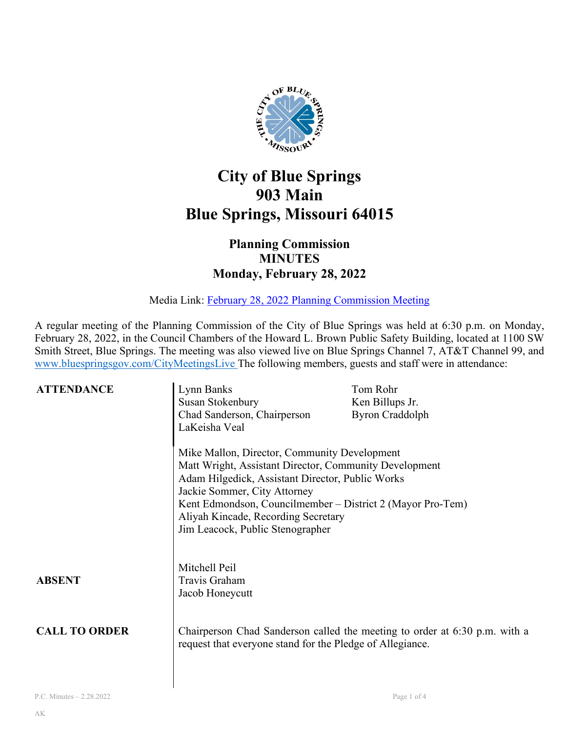

## **City of Blue Springs 903 Main Blue Springs, Missouri 64015**

## **Planning Commission MINUTES Monday, February 28, 2022**

Media Link: [February 28, 2022 Planning Commission Meeting](https://www.youtube.com/watch?v=HNoJ63A2wH4&t=2s)

A regular meeting of the Planning Commission of the City of Blue Springs was held at 6:30 p.m. on Monday, February 28, 2022, in the Council Chambers of the Howard L. Brown Public Safety Building, located at 1100 SW Smith Street, Blue Springs. The meeting was also viewed live on Blue Springs Channel 7, AT&T Channel 99, and [www.bluespringsgov.com/CityMeetingsLive](http://www.bluespringsgov.com/CityMeetingsLive) The following members, guests and staff were in attendance:

| <b>ATTENDANCE</b>    | Lynn Banks<br>Susan Stokenbury<br>Chad Sanderson, Chairperson<br>LaKeisha Veal                                                                                                                                                                                                                                                      | Tom Rohr<br>Ken Billups Jr.<br><b>Byron Craddolph</b>                      |
|----------------------|-------------------------------------------------------------------------------------------------------------------------------------------------------------------------------------------------------------------------------------------------------------------------------------------------------------------------------------|----------------------------------------------------------------------------|
|                      | Mike Mallon, Director, Community Development<br>Matt Wright, Assistant Director, Community Development<br>Adam Hilgedick, Assistant Director, Public Works<br>Jackie Sommer, City Attorney<br>Kent Edmondson, Councilmember – District 2 (Mayor Pro-Tem)<br>Aliyah Kincade, Recording Secretary<br>Jim Leacock, Public Stenographer |                                                                            |
| <b>ABSENT</b>        | Mitchell Peil<br>Travis Graham<br>Jacob Honeycutt                                                                                                                                                                                                                                                                                   |                                                                            |
| <b>CALL TO ORDER</b> | request that everyone stand for the Pledge of Allegiance.                                                                                                                                                                                                                                                                           | Chairperson Chad Sanderson called the meeting to order at 6:30 p.m. with a |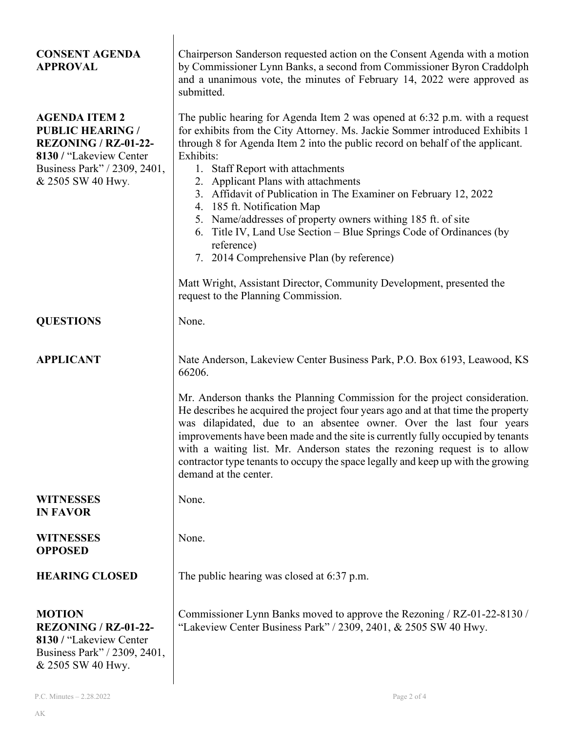| <b>CONSENT AGENDA</b><br><b>APPROVAL</b>                                                                                                                       | Chairperson Sanderson requested action on the Consent Agenda with a motion<br>by Commissioner Lynn Banks, a second from Commissioner Byron Craddolph<br>and a unanimous vote, the minutes of February 14, 2022 were approved as<br>submitted.                                                                                                                                                                                                                                                                                                                                                                                                                                                                                                              |  |
|----------------------------------------------------------------------------------------------------------------------------------------------------------------|------------------------------------------------------------------------------------------------------------------------------------------------------------------------------------------------------------------------------------------------------------------------------------------------------------------------------------------------------------------------------------------------------------------------------------------------------------------------------------------------------------------------------------------------------------------------------------------------------------------------------------------------------------------------------------------------------------------------------------------------------------|--|
| <b>AGENDA ITEM 2</b><br><b>PUBLIC HEARING /</b><br><b>REZONING / RZ-01-22-</b><br>8130 / "Lakeview Center<br>Business Park" / 2309, 2401,<br>& 2505 SW 40 Hwy. | The public hearing for Agenda Item 2 was opened at 6:32 p.m. with a request<br>for exhibits from the City Attorney. Ms. Jackie Sommer introduced Exhibits 1<br>through 8 for Agenda Item 2 into the public record on behalf of the applicant.<br>Exhibits:<br>1. Staff Report with attachments<br>2. Applicant Plans with attachments<br>3. Affidavit of Publication in The Examiner on February 12, 2022<br>4. 185 ft. Notification Map<br>5. Name/addresses of property owners withing 185 ft. of site<br>6. Title IV, Land Use Section - Blue Springs Code of Ordinances (by<br>reference)<br>7. 2014 Comprehensive Plan (by reference)<br>Matt Wright, Assistant Director, Community Development, presented the<br>request to the Planning Commission. |  |
| <b>QUESTIONS</b>                                                                                                                                               | None.                                                                                                                                                                                                                                                                                                                                                                                                                                                                                                                                                                                                                                                                                                                                                      |  |
|                                                                                                                                                                |                                                                                                                                                                                                                                                                                                                                                                                                                                                                                                                                                                                                                                                                                                                                                            |  |
| <b>APPLICANT</b>                                                                                                                                               | Nate Anderson, Lakeview Center Business Park, P.O. Box 6193, Leawood, KS<br>66206.<br>Mr. Anderson thanks the Planning Commission for the project consideration.<br>He describes he acquired the project four years ago and at that time the property<br>was dilapidated, due to an absentee owner. Over the last four years<br>improvements have been made and the site is currently fully occupied by tenants<br>with a waiting list. Mr. Anderson states the rezoning request is to allow<br>contractor type tenants to occupy the space legally and keep up with the growing<br>demand at the center.                                                                                                                                                  |  |
|                                                                                                                                                                |                                                                                                                                                                                                                                                                                                                                                                                                                                                                                                                                                                                                                                                                                                                                                            |  |
| <b>WITNESSES</b><br><b>IN FAVOR</b>                                                                                                                            | None.                                                                                                                                                                                                                                                                                                                                                                                                                                                                                                                                                                                                                                                                                                                                                      |  |
| <b>WITNESSES</b><br><b>OPPOSED</b>                                                                                                                             | None.                                                                                                                                                                                                                                                                                                                                                                                                                                                                                                                                                                                                                                                                                                                                                      |  |
| <b>HEARING CLOSED</b>                                                                                                                                          | The public hearing was closed at 6:37 p.m.                                                                                                                                                                                                                                                                                                                                                                                                                                                                                                                                                                                                                                                                                                                 |  |
| <b>MOTION</b><br><b>REZONING / RZ-01-22-</b><br>8130 / "Lakeview Center"<br>Business Park" / 2309, 2401,<br>& 2505 SW 40 Hwy.                                  | Commissioner Lynn Banks moved to approve the Rezoning / RZ-01-22-8130 /<br>"Lakeview Center Business Park" / 2309, 2401, & 2505 SW 40 Hwy.                                                                                                                                                                                                                                                                                                                                                                                                                                                                                                                                                                                                                 |  |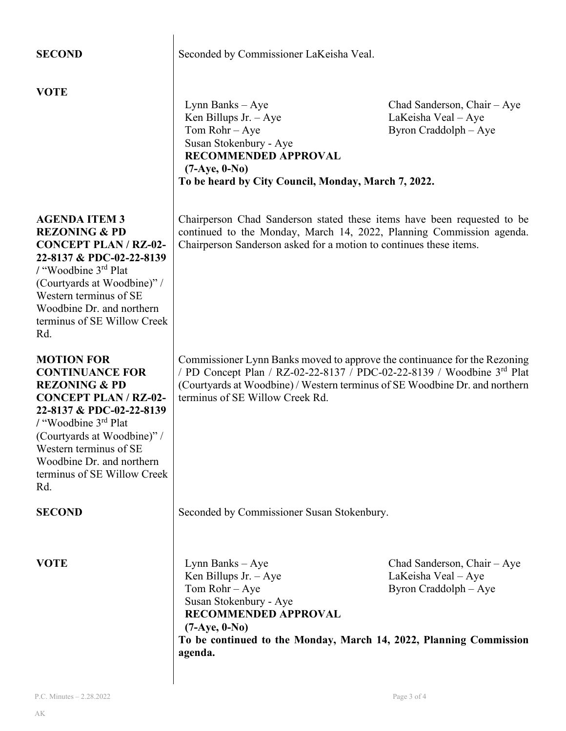| <b>SECOND</b>                                                                                                                                                                                                                                                                                       | Seconded by Commissioner LaKeisha Veal.                                                                                                                                                                                                                               |                                                                             |  |
|-----------------------------------------------------------------------------------------------------------------------------------------------------------------------------------------------------------------------------------------------------------------------------------------------------|-----------------------------------------------------------------------------------------------------------------------------------------------------------------------------------------------------------------------------------------------------------------------|-----------------------------------------------------------------------------|--|
| <b>VOTE</b>                                                                                                                                                                                                                                                                                         | Lynn Banks - Aye<br>Ken Billups Jr. $-Aye$<br>Tom $Rohr - Aye$<br>Susan Stokenbury - Aye<br>RECOMMENDED APPROVAL<br>$(7-Aye, 0-No)$<br>To be heard by City Council, Monday, March 7, 2022.                                                                            | Chad Sanderson, Chair - Aye<br>LaKeisha Veal - Aye<br>Byron Craddolph - Aye |  |
| <b>AGENDA ITEM 3</b><br><b>REZONING &amp; PD</b><br><b>CONCEPT PLAN / RZ-02-</b><br>22-8137 & PDC-02-22-8139<br>/ "Woodbine 3 <sup>rd</sup> Plat<br>(Courtyards at Woodbine)" /<br>Western terminus of SE<br>Woodbine Dr. and northern<br>terminus of SE Willow Creek<br>Rd.                        | Chairperson Chad Sanderson stated these items have been requested to be<br>continued to the Monday, March 14, 2022, Planning Commission agenda.<br>Chairperson Sanderson asked for a motion to continues these items.                                                 |                                                                             |  |
| <b>MOTION FOR</b><br><b>CONTINUANCE FOR</b><br><b>REZONING &amp; PD</b><br><b>CONCEPT PLAN / RZ-02-</b><br>22-8137 & PDC-02-22-8139<br>/ "Woodbine 3 <sup>rd</sup> Plat<br>(Courtyards at Woodbine)" /<br>Western terminus of SE<br>Woodbine Dr. and northern<br>terminus of SE Willow Creek<br>Rd. | Commissioner Lynn Banks moved to approve the continuance for the Rezoning<br>/ PD Concept Plan / RZ-02-22-8137 / PDC-02-22-8139 / Woodbine 3rd Plat<br>(Courtyards at Woodbine) / Western terminus of SE Woodbine Dr. and northern<br>terminus of SE Willow Creek Rd. |                                                                             |  |
| <b>SECOND</b>                                                                                                                                                                                                                                                                                       | Seconded by Commissioner Susan Stokenbury.                                                                                                                                                                                                                            |                                                                             |  |
| <b>VOTE</b>                                                                                                                                                                                                                                                                                         | Lynn Banks – Aye<br>Ken Billups Jr. $-Aye$<br>Tom Rohr - Aye<br>Susan Stokenbury - Aye<br><b>RECOMMENDED APPROVAL</b><br>$(7-Aye, 0-No)$<br>To be continued to the Monday, March 14, 2022, Planning Commission<br>agenda.                                             | Chad Sanderson, Chair - Aye<br>LaKeisha Veal - Aye<br>Byron Craddolph - Aye |  |